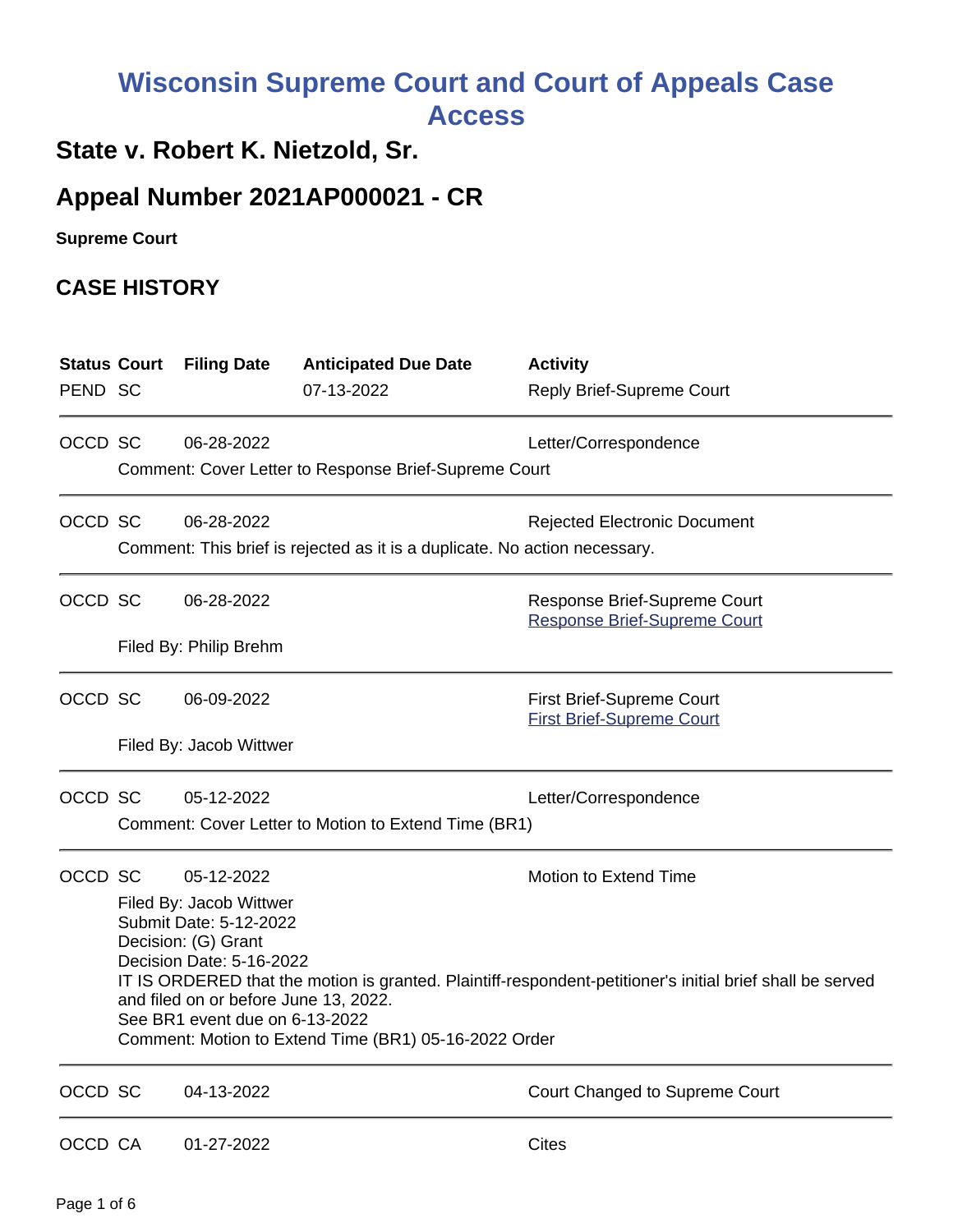## **Wisconsin Supreme Court and Court of Appeals Case Access**

## **State v. Robert K. Nietzold, Sr.**

## **Appeal Number 2021AP000021 - CR**

**Supreme Court** 

## **CASE HISTORY**

| <b>Status Court</b><br>PEND SC |                                                                            | <b>Filing Date</b>                                                                                                                                                                                               | <b>Anticipated Due Date</b><br>07-13-2022 | <b>Activity</b><br><b>Reply Brief-Supreme Court</b>                  |  |  |  |
|--------------------------------|----------------------------------------------------------------------------|------------------------------------------------------------------------------------------------------------------------------------------------------------------------------------------------------------------|-------------------------------------------|----------------------------------------------------------------------|--|--|--|
|                                |                                                                            |                                                                                                                                                                                                                  |                                           |                                                                      |  |  |  |
| OCCD SC                        |                                                                            | 06-28-2022                                                                                                                                                                                                       |                                           | Letter/Correspondence                                                |  |  |  |
|                                |                                                                            | Comment: Cover Letter to Response Brief-Supreme Court                                                                                                                                                            |                                           |                                                                      |  |  |  |
| OCCD SC                        |                                                                            | 06-28-2022                                                                                                                                                                                                       |                                           | <b>Rejected Electronic Document</b>                                  |  |  |  |
|                                | Comment: This brief is rejected as it is a duplicate. No action necessary. |                                                                                                                                                                                                                  |                                           |                                                                      |  |  |  |
| OCCD SC                        |                                                                            | 06-28-2022                                                                                                                                                                                                       |                                           | Response Brief-Supreme Court<br><b>Response Brief-Supreme Court</b>  |  |  |  |
|                                |                                                                            | Filed By: Philip Brehm                                                                                                                                                                                           |                                           |                                                                      |  |  |  |
| OCCD SC                        |                                                                            | 06-09-2022                                                                                                                                                                                                       |                                           | <b>First Brief-Supreme Court</b><br><b>First Brief-Supreme Court</b> |  |  |  |
|                                |                                                                            | Filed By: Jacob Wittwer                                                                                                                                                                                          |                                           |                                                                      |  |  |  |
| OCCD SC                        |                                                                            | 05-12-2022                                                                                                                                                                                                       |                                           | Letter/Correspondence                                                |  |  |  |
|                                |                                                                            | Comment: Cover Letter to Motion to Extend Time (BR1)                                                                                                                                                             |                                           |                                                                      |  |  |  |
| OCCD SC                        |                                                                            | 05-12-2022<br>Filed By: Jacob Wittwer                                                                                                                                                                            |                                           | Motion to Extend Time                                                |  |  |  |
|                                | Submit Date: 5-12-2022<br>Decision: (G) Grant                              |                                                                                                                                                                                                                  |                                           |                                                                      |  |  |  |
|                                |                                                                            | Decision Date: 5-16-2022<br>IT IS ORDERED that the motion is granted. Plaintiff-respondent-petitioner's initial brief shall be served<br>and filed on or before June 13, 2022.<br>See BR1 event due on 6-13-2022 |                                           |                                                                      |  |  |  |
|                                |                                                                            | Comment: Motion to Extend Time (BR1) 05-16-2022 Order                                                                                                                                                            |                                           |                                                                      |  |  |  |
| OCCD SC                        |                                                                            | 04-13-2022                                                                                                                                                                                                       |                                           | Court Changed to Supreme Court                                       |  |  |  |
| OCCD CA                        |                                                                            | 01-27-2022                                                                                                                                                                                                       |                                           | <b>Cites</b>                                                         |  |  |  |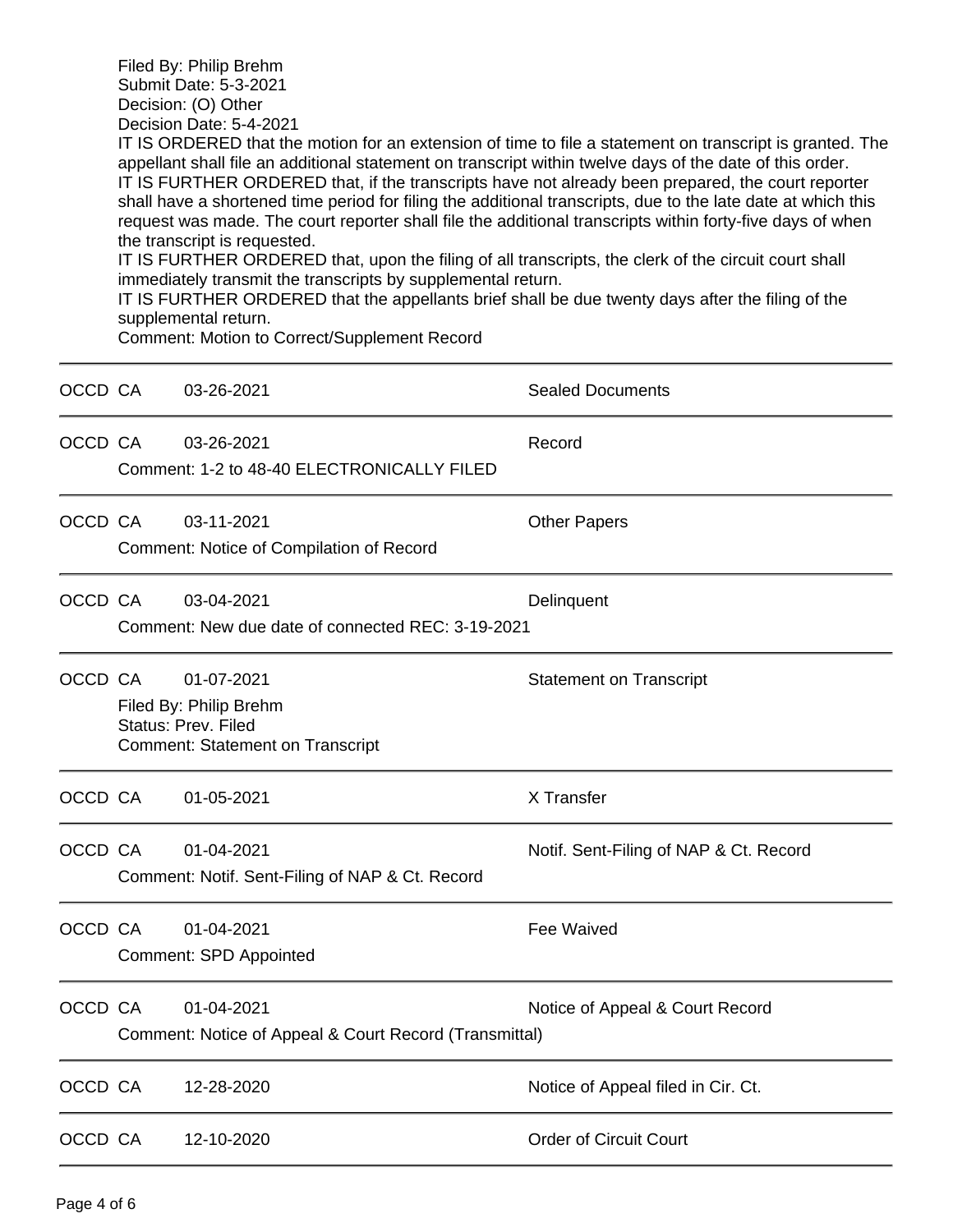| Filed By: Philip Brehm  |  |
|-------------------------|--|
| Submit Date: 5-3-2021   |  |
| Decision: (O) Other     |  |
| Decision Date: 5-4-2021 |  |

IT IS ORDERED that the motion for an extension of time to file a statement on transcript is granted. The appellant shall file an additional statement on transcript within twelve days of the date of this order. IT IS FURTHER ORDERED that, if the transcripts have not already been prepared, the court reporter shall have a shortened time period for filing the additional transcripts, due to the late date at which this request was made. The court reporter shall file the additional transcripts within forty-five days of when the transcript is requested.

IT IS FURTHER ORDERED that, upon the filing of all transcripts, the clerk of the circuit court shall immediately transmit the transcripts by supplemental return.

IT IS FURTHER ORDERED that the appellants brief shall be due twenty days after the filing of the supplemental return.

Comment: Motion to Correct/Supplement Record

| OCCD CA |                                                                                                                                          | 03-26-2021                                                           | <b>Sealed Documents</b>                |  |
|---------|------------------------------------------------------------------------------------------------------------------------------------------|----------------------------------------------------------------------|----------------------------------------|--|
| OCCD CA |                                                                                                                                          | 03-26-2021<br>Comment: 1-2 to 48-40 ELECTRONICALLY FILED             | Record                                 |  |
| OCCD CA |                                                                                                                                          | 03-11-2021<br>Comment: Notice of Compilation of Record               | <b>Other Papers</b>                    |  |
| OCCD CA |                                                                                                                                          | 03-04-2021<br>Comment: New due date of connected REC: 3-19-2021      | Delinquent                             |  |
| OCCD CA | 01-07-2021<br><b>Statement on Transcript</b><br>Filed By: Philip Brehm<br>Status: Prev. Filed<br><b>Comment: Statement on Transcript</b> |                                                                      |                                        |  |
| OCCD CA |                                                                                                                                          | 01-05-2021                                                           | X Transfer                             |  |
| OCCD CA |                                                                                                                                          | 01-04-2021<br>Comment: Notif. Sent-Filing of NAP & Ct. Record        | Notif. Sent-Filing of NAP & Ct. Record |  |
| OCCD CA |                                                                                                                                          | 01-04-2021<br><b>Comment: SPD Appointed</b>                          | Fee Waived                             |  |
| OCCD CA |                                                                                                                                          | 01-04-2021<br>Comment: Notice of Appeal & Court Record (Transmittal) | Notice of Appeal & Court Record        |  |
| OCCD CA |                                                                                                                                          | 12-28-2020                                                           | Notice of Appeal filed in Cir. Ct.     |  |
| OCCD CA |                                                                                                                                          | 12-10-2020                                                           | <b>Order of Circuit Court</b>          |  |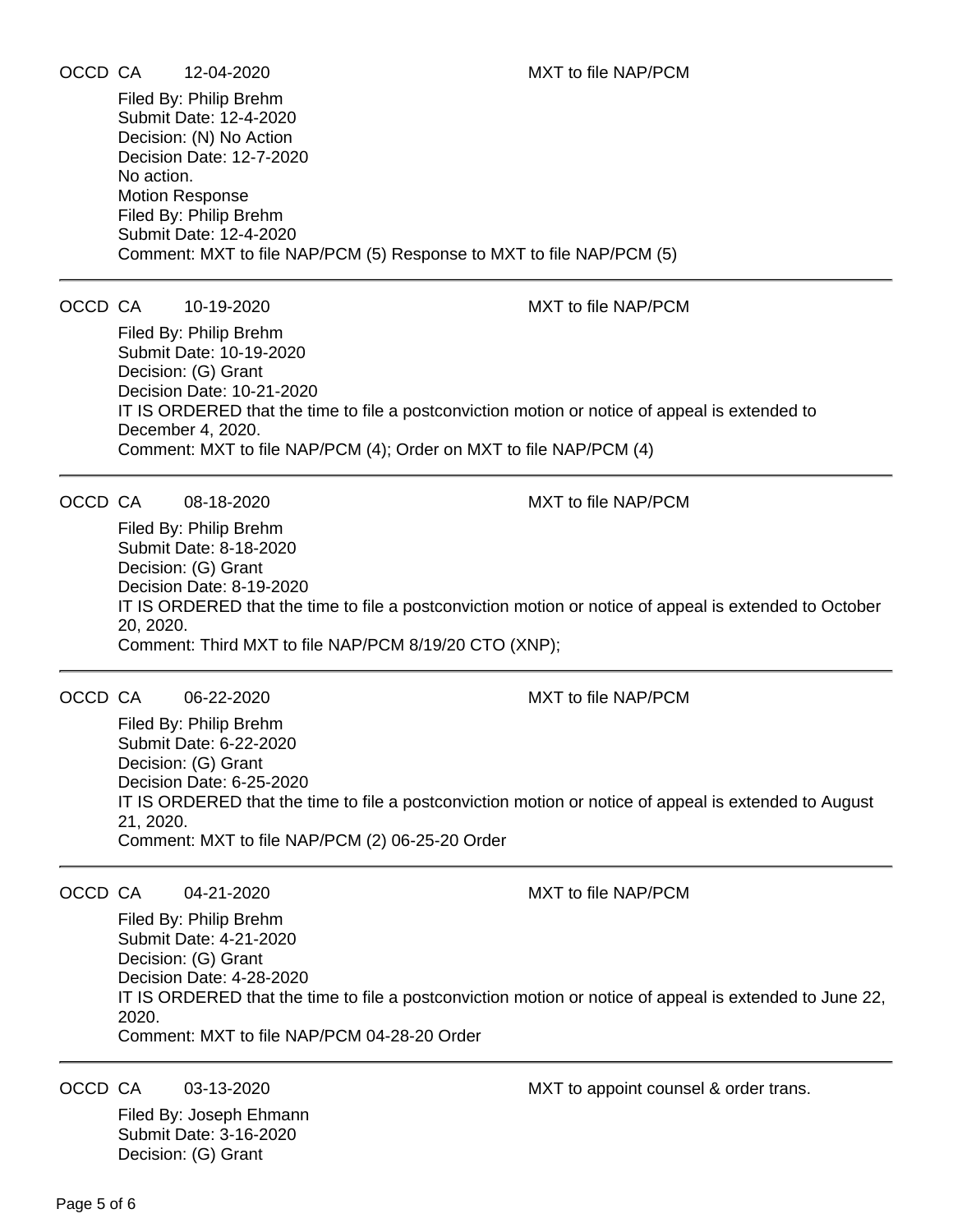# OCCD CA 12-04-2020 MXT to file NAP/PCM

Filed By: Philip Brehm Submit Date: 12-4-2020 Decision: (N) No Action Decision Date: 12-7-2020 No action. Motion Response Filed By: Philip Brehm Submit Date: 12-4-2020 Comment: MXT to file NAP/PCM (5) Response to MXT to file NAP/PCM (5)

### OCCD CA 10-19-2020 MXT to file NAP/PCM

Filed By: Philip Brehm Submit Date: 10-19-2020 Decision: (G) Grant Decision Date: 10-21-2020 IT IS ORDERED that the time to file a postconviction motion or notice of appeal is extended to December 4, 2020. Comment: MXT to file NAP/PCM (4); Order on MXT to file NAP/PCM (4)

OCCD CA 08-18-2020 MXT to file NAP/PCM

Filed By: Philip Brehm Submit Date: 8-18-2020 Decision: (G) Grant Decision Date: 8-19-2020 IT IS ORDERED that the time to file a postconviction motion or notice of appeal is extended to October 20, 2020. Comment: Third MXT to file NAP/PCM 8/19/20 CTO (XNP);

OCCD CA 06-22-2020 MXT to file NAP/PCM

Filed By: Philip Brehm Submit Date: 6-22-2020 Decision: (G) Grant Decision Date: 6-25-2020 IT IS ORDERED that the time to file a postconviction motion or notice of appeal is extended to August 21, 2020. Comment: MXT to file NAP/PCM (2) 06-25-20 Order

OCCD CA 04-21-2020 MXT to file NAP/PCM

Filed By: Philip Brehm Submit Date: 4-21-2020 Decision: (G) Grant Decision Date: 4-28-2020 IT IS ORDERED that the time to file a postconviction motion or notice of appeal is extended to June 22, 2020. Comment: MXT to file NAP/PCM 04-28-20 Order

Filed By: Joseph Ehmann Submit Date: 3-16-2020 Decision: (G) Grant

OCCD CA 03-13-2020 MXT to appoint counsel & order trans.